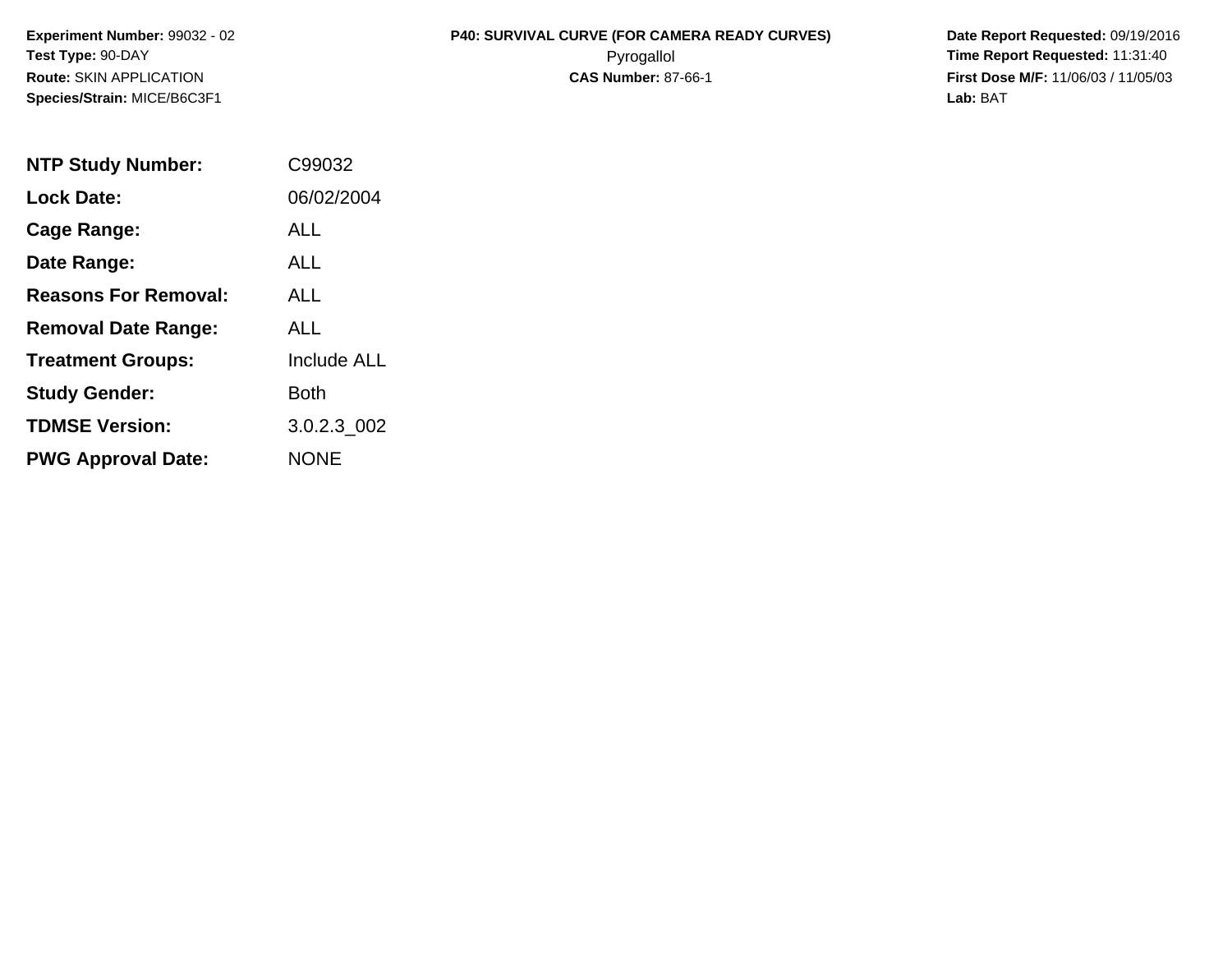**Species/Strain:** MICE/B6C3F1 **Lab:** BAT

## **Experiment Number:** 99032 - 02 **P40: SURVIVAL CURVE (FOR CAMERA READY CURVES) Date Report Requested:** 09/19/2016 **Test Type:** 90-DAY Pyrogallol **Time Report Requested:** 11:31:40 **Route:** SKIN APPLICATION **CAS Number:** 87-66-1 **First Dose M/F:** 11/06/03 / 11/05/03

| <b>NTP Study Number:</b>    | C99032             |
|-----------------------------|--------------------|
| <b>Lock Date:</b>           | 06/02/2004         |
| Cage Range:                 | ALL                |
| Date Range:                 | ALL                |
| <b>Reasons For Removal:</b> | AI I               |
| <b>Removal Date Range:</b>  | ALL                |
| <b>Treatment Groups:</b>    | <b>Include ALL</b> |
| <b>Study Gender:</b>        | Both               |
| <b>TDMSE Version:</b>       | 3.0.2.3_002        |
| <b>PWG Approval Date:</b>   | <b>NONE</b>        |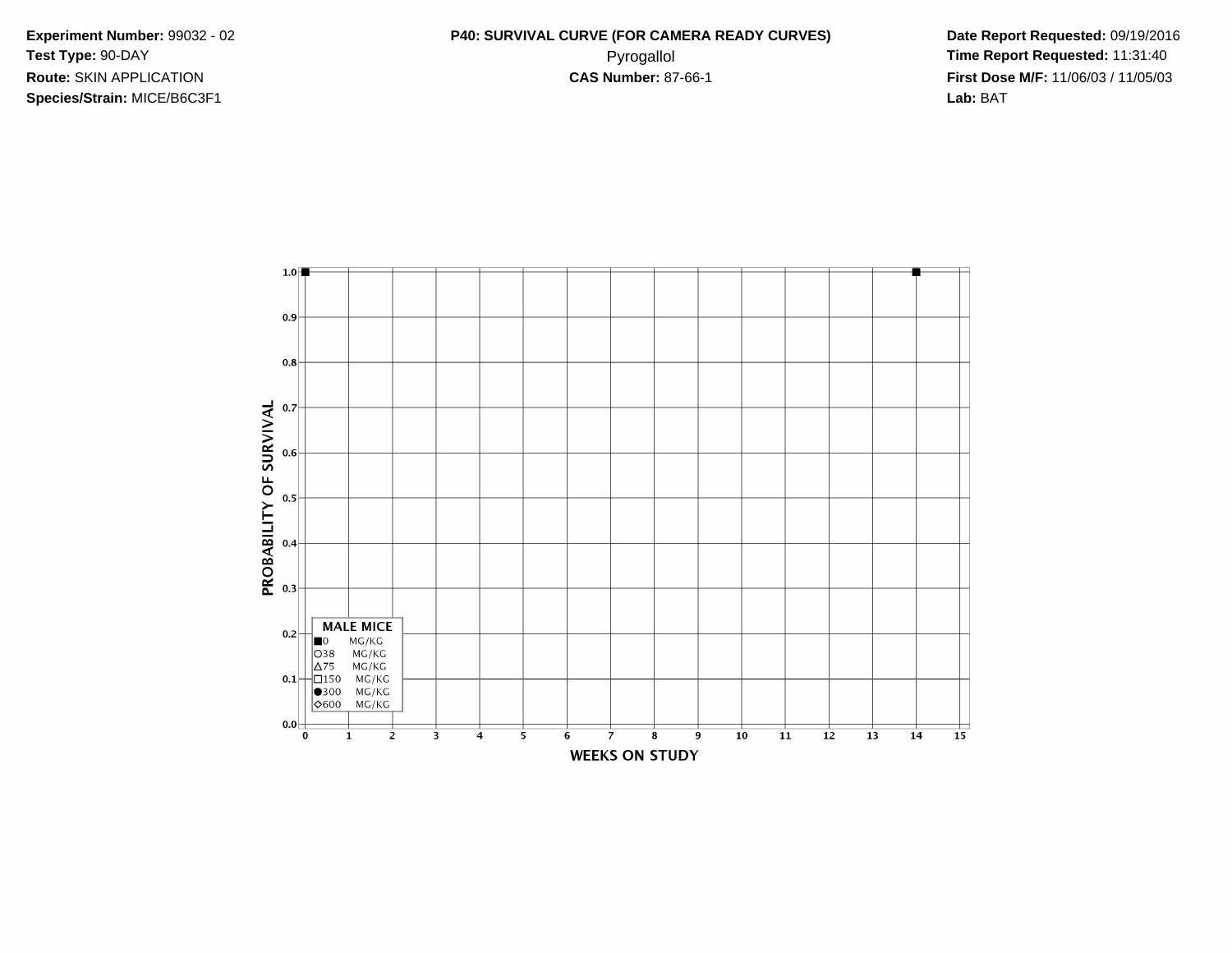**Species/Strain:** MICE/B6C3F1 **Lab:** BAT